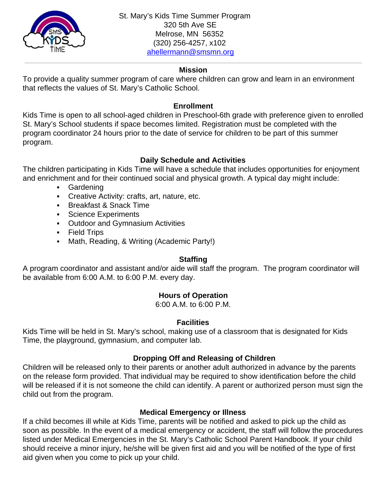

 St. Mary's Kids Time Summer Program 320 5th Ave SE Melrose, MN 56352 (320) 256-4257, x102 [ahellermann@smsmn.org](mailto:ahellermann@smsmn.org)

### **Mission**

To provide a quality summer program of care where children can grow and learn in an environment that reflects the values of St. Mary's Catholic School.

### **Enrollment**

Kids Time is open to all school-aged children in Preschool-6th grade with preference given to enrolled St. Mary's School students if space becomes limited. Registration must be completed with the program coordinator 24 hours prior to the date of service for children to be part of this summer program.

# **Daily Schedule and Activities**

The children participating in Kids Time will have a schedule that includes opportunities for enjoyment and enrichment and for their continued social and physical growth. A typical day might include:

- Gardening
- **Creative Activity: crafts, art, nature, etc.**
- **Example 3 Breakfast & Snack Time**
- **•** Science Experiments
- Outdoor and Gymnasium Activities
- **Executed Trips**
- **Math, Reading, & Writing (Academic Party!)**

## **Staffing**

A program coordinator and assistant and/or aide will staff the program. The program coordinator will be available from 6:00 A.M. to 6:00 P.M. every day.

# **Hours of Operation**

6:00 A.M. to 6:00 P.M.

## **Facilities**

Kids Time will be held in St. Mary's school, making use of a classroom that is designated for Kids Time, the playground, gymnasium, and computer lab.

# **Dropping Off and Releasing of Children**

Children will be released only to their parents or another adult authorized in advance by the parents on the release form provided. That individual may be required to show identification before the child will be released if it is not someone the child can identify. A parent or authorized person must sign the child out from the program.

## **Medical Emergency or Illness**

If a child becomes ill while at Kids Time, parents will be notified and asked to pick up the child as soon as possible. In the event of a medical emergency or accident, the staff will follow the procedures listed under Medical Emergencies in the St. Mary's Catholic School Parent Handbook. If your child should receive a minor injury, he/she will be given first aid and you will be notified of the type of first aid given when you come to pick up your child.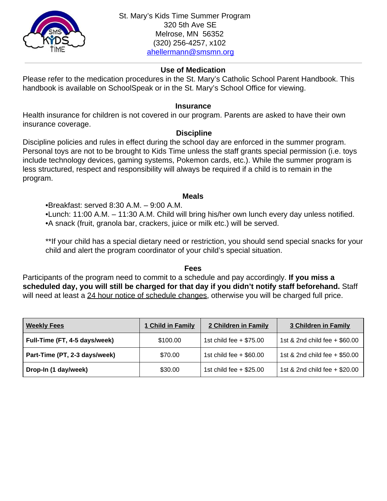

### **Use of Medication**

Please refer to the medication procedures in the St. Mary's Catholic School Parent Handbook. This handbook is available on SchoolSpeak or in the St. Mary's School Office for viewing.

#### **Insurance**

Health insurance for children is not covered in our program. Parents are asked to have their own insurance coverage.

### **Discipline**

Discipline policies and rules in effect during the school day are enforced in the summer program. Personal toys are not to be brought to Kids Time unless the staff grants special permission (i.e. toys include technology devices, gaming systems, Pokemon cards, etc.). While the summer program is less structured, respect and responsibility will always be required if a child is to remain in the program.

#### **Meals**

•Breakfast: served 8:30 A.M. – 9:00 A.M.

•Lunch: 11:00 A.M. – 11:30 A.M. Child will bring his/her own lunch every day unless notified. •A snack (fruit, granola bar, crackers, juice or milk etc.) will be served.

\*\*If your child has a special dietary need or restriction, you should send special snacks for your child and alert the program coordinator of your child's special situation.

#### **Fees**

Participants of the program need to commit to a schedule and pay accordingly. **If you miss a scheduled day, you will still be charged for that day if you didn't notify staff beforehand.** Staff will need at least a 24 hour notice of schedule changes, otherwise you will be charged full price.

| <b>Weekly Fees</b>            | 1 Child in Family | 2 Children in Family      | <b>3 Children in Family</b>   |  |
|-------------------------------|-------------------|---------------------------|-------------------------------|--|
| Full-Time (FT, 4-5 days/week) | \$100.00          | 1st child fee $+$ \$75.00 | 1st & 2nd child fee + \$60.00 |  |
| Part-Time (PT, 2-3 days/week) | \$70.00           | 1st child fee $+$ \$60.00 | 1st & 2nd child fee + \$50.00 |  |
| Drop-In (1 day/week)          | \$30.00           | 1st child fee $+$ \$25.00 | 1st & 2nd child fee + \$20.00 |  |